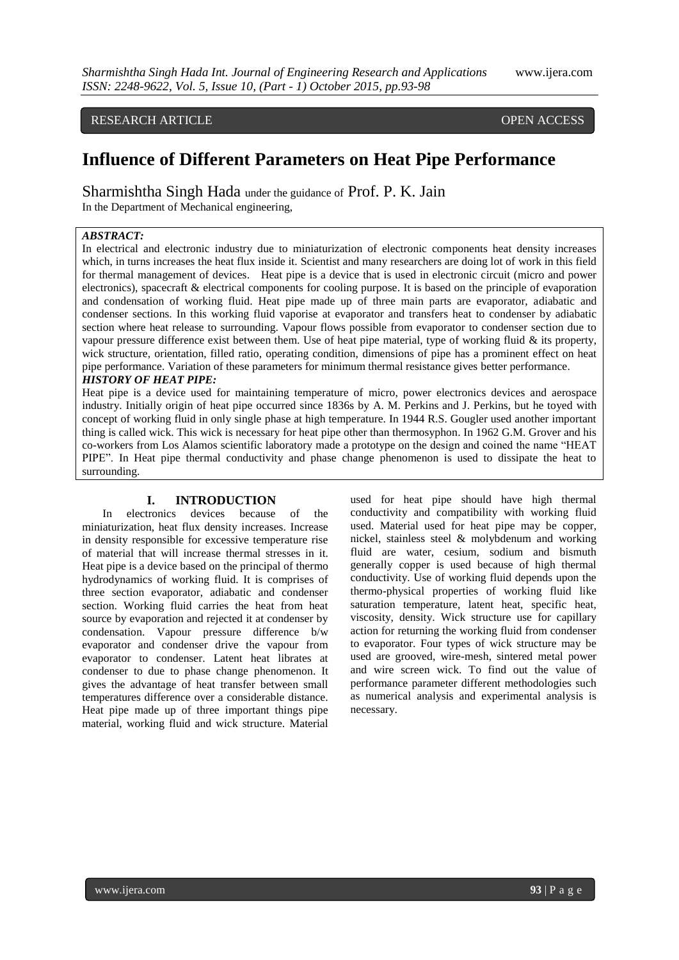RESEARCH ARTICLE **CONTRACT ARTICLE** AND LOTE OPEN ACCESS OPEN ACCESS

# **Influence of Different Parameters on Heat Pipe Performance**

Sharmishtha Singh Hada under the guidance of Prof. P. K. Jain In the Department of Mechanical engineering,

### *ABSTRACT:*

In electrical and electronic industry due to miniaturization of electronic components heat density increases which, in turns increases the heat flux inside it. Scientist and many researchers are doing lot of work in this field for thermal management of devices. Heat pipe is a device that is used in electronic circuit (micro and power electronics), spacecraft & electrical components for cooling purpose. It is based on the principle of evaporation and condensation of working fluid. Heat pipe made up of three main parts are evaporator, adiabatic and condenser sections. In this working fluid vaporise at evaporator and transfers heat to condenser by adiabatic section where heat release to surrounding. Vapour flows possible from evaporator to condenser section due to vapour pressure difference exist between them. Use of heat pipe material, type of working fluid  $\&$  its property, wick structure, orientation, filled ratio, operating condition, dimensions of pipe has a prominent effect on heat pipe performance. Variation of these parameters for minimum thermal resistance gives better performance. *HISTORY OF HEAT PIPE:*

Heat pipe is a device used for maintaining temperature of micro, power electronics devices and aerospace industry. Initially origin of heat pipe occurred since 1836s by A. M. Perkins and J. Perkins, but he toyed with concept of working fluid in only single phase at high temperature. In 1944 R.S. Gougler used another important thing is called wick. This wick is necessary for heat pipe other than thermosyphon. In 1962 G.M. Grover and his co-workers from Los Alamos scientific laboratory made a prototype on the design and coined the name "HEAT PIPE". In Heat pipe thermal conductivity and phase change phenomenon is used to dissipate the heat to surrounding.

#### **I. INTRODUCTION**

In electronics devices because of the miniaturization, heat flux density increases. Increase in density responsible for excessive temperature rise of material that will increase thermal stresses in it. Heat pipe is a device based on the principal of thermo hydrodynamics of working fluid. It is comprises of three section evaporator, adiabatic and condenser section. Working fluid carries the heat from heat source by evaporation and rejected it at condenser by condensation. Vapour pressure difference b/w evaporator and condenser drive the vapour from evaporator to condenser. Latent heat librates at condenser to due to phase change phenomenon. It gives the advantage of heat transfer between small temperatures difference over a considerable distance. Heat pipe made up of three important things pipe material, working fluid and wick structure. Material

used for heat pipe should have high thermal conductivity and compatibility with working fluid used. Material used for heat pipe may be copper, nickel, stainless steel & molybdenum and working fluid are water, cesium, sodium and bismuth generally copper is used because of high thermal conductivity. Use of working fluid depends upon the thermo-physical properties of working fluid like saturation temperature, latent heat, specific heat, viscosity, density. Wick structure use for capillary action for returning the working fluid from condenser to evaporator. Four types of wick structure may be used are grooved, wire-mesh, sintered metal power and wire screen wick. To find out the value of performance parameter different methodologies such as numerical analysis and experimental analysis is necessary.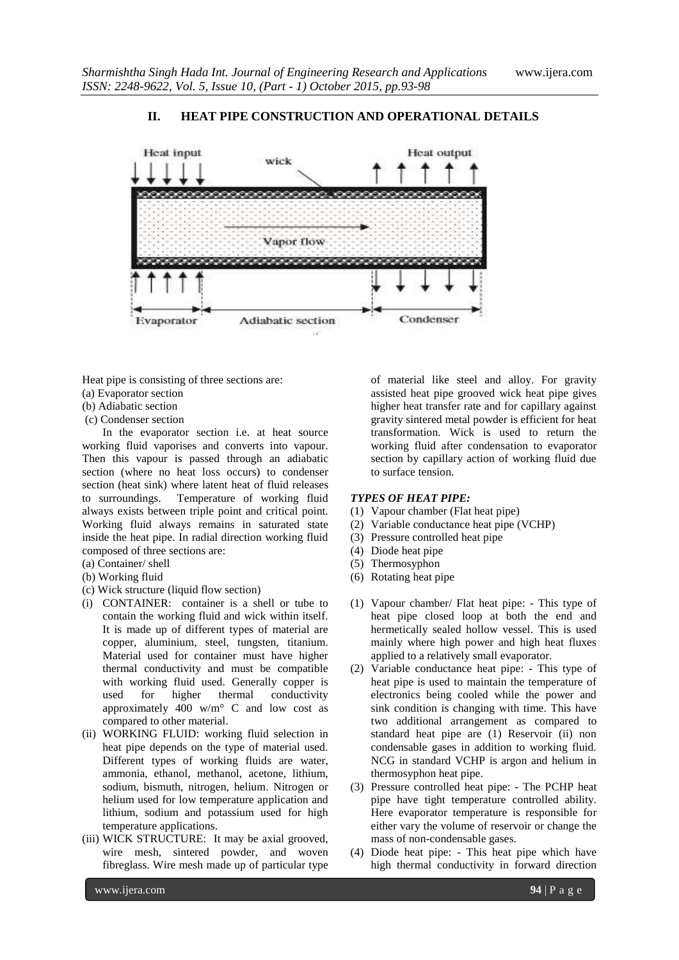## **II. HEAT PIPE CONSTRUCTION AND OPERATIONAL DETAILS**



Heat pipe is consisting of three sections are:

- (a) Evaporator section
- (b) Adiabatic section
- (c) Condenser section

In the evaporator section i.e. at heat source working fluid vaporises and converts into vapour. Then this vapour is passed through an adiabatic section (where no heat loss occurs) to condenser section (heat sink) where latent heat of fluid releases to surroundings. Temperature of working fluid always exists between triple point and critical point. Working fluid always remains in saturated state inside the heat pipe. In radial direction working fluid composed of three sections are:

- (a) Container/ shell
- (b) Working fluid
- (c) Wick structure (liquid flow section)
- (i) CONTAINER: container is a shell or tube to contain the working fluid and wick within itself. It is made up of different types of material are copper, aluminium, steel, tungsten, titanium. Material used for container must have higher thermal conductivity and must be compatible with working fluid used. Generally copper is used for higher thermal conductivity approximately  $400 \text{ w/m}^{\circ}$  C and low cost as compared to other material.
- (ii) WORKING FLUID: working fluid selection in heat pipe depends on the type of material used. Different types of working fluids are water, ammonia, ethanol, methanol, acetone, lithium, sodium, bismuth, nitrogen, helium. Nitrogen or helium used for low temperature application and lithium, sodium and potassium used for high temperature applications.
- (iii) WICK STRUCTURE: It may be axial grooved, wire mesh, sintered powder, and woven fibreglass. Wire mesh made up of particular type

of material like steel and alloy. For gravity assisted heat pipe grooved wick heat pipe gives higher heat transfer rate and for capillary against gravity sintered metal powder is efficient for heat transformation. Wick is used to return the working fluid after condensation to evaporator section by capillary action of working fluid due to surface tension.

#### *TYPES OF HEAT PIPE:*

- (1) Vapour chamber (Flat heat pipe)
- (2) Variable conductance heat pipe (VCHP)
- (3) Pressure controlled heat pipe
- (4) Diode heat pipe
- (5) Thermosyphon
- (6) Rotating heat pipe
- (1) Vapour chamber/ Flat heat pipe: This type of heat pipe closed loop at both the end and hermetically sealed hollow vessel. This is used mainly where high power and high heat fluxes applied to a relatively small evaporator.
- (2) Variable conductance heat pipe: This type of heat pipe is used to maintain the temperature of electronics being cooled while the power and sink condition is changing with time. This have two additional arrangement as compared to standard heat pipe are (1) Reservoir (ii) non condensable gases in addition to working fluid. NCG in standard VCHP is argon and helium in thermosyphon heat pipe.
- (3) Pressure controlled heat pipe: The PCHP heat pipe have tight temperature controlled ability. Here evaporator temperature is responsible for either vary the volume of reservoir or change the mass of non-condensable gases.
- (4) Diode heat pipe: This heat pipe which have high thermal conductivity in forward direction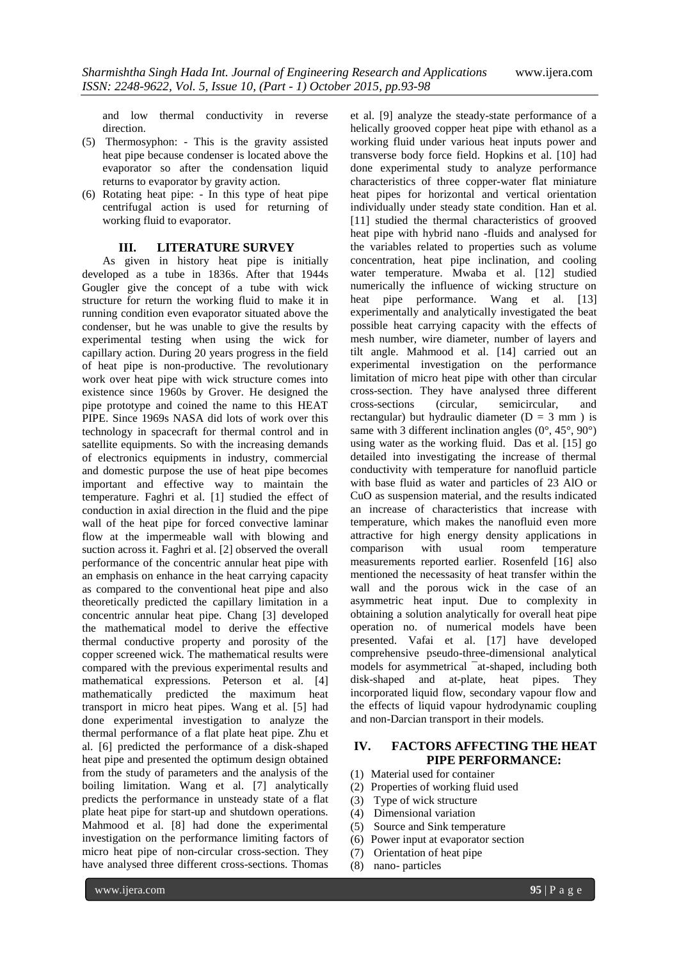and low thermal conductivity in reverse direction.

- (5) Thermosyphon: This is the gravity assisted heat pipe because condenser is located above the evaporator so after the condensation liquid returns to evaporator by gravity action.
- (6) Rotating heat pipe: In this type of heat pipe centrifugal action is used for returning of working fluid to evaporator.

#### **III. LITERATURE SURVEY**

As given in history heat pipe is initially developed as a tube in 1836s. After that 1944s Gougler give the concept of a tube with wick structure for return the working fluid to make it in running condition even evaporator situated above the condenser, but he was unable to give the results by experimental testing when using the wick for capillary action. During 20 years progress in the field of heat pipe is non-productive. The revolutionary work over heat pipe with wick structure comes into existence since 1960s by Grover. He designed the pipe prototype and coined the name to this HEAT PIPE. Since 1969s NASA did lots of work over this technology in spacecraft for thermal control and in satellite equipments. So with the increasing demands of electronics equipments in industry, commercial and domestic purpose the use of heat pipe becomes important and effective way to maintain the temperature. Faghri et al. [1] studied the effect of conduction in axial direction in the fluid and the pipe wall of the heat pipe for forced convective laminar flow at the impermeable wall with blowing and suction across it. Faghri et al. [2] observed the overall performance of the concentric annular heat pipe with an emphasis on enhance in the heat carrying capacity as compared to the conventional heat pipe and also theoretically predicted the capillary limitation in a concentric annular heat pipe. Chang [3] developed the mathematical model to derive the effective thermal conductive property and porosity of the copper screened wick. The mathematical results were compared with the previous experimental results and mathematical expressions. Peterson et al. [4] mathematically predicted the maximum heat transport in micro heat pipes. Wang et al. [5] had done experimental investigation to analyze the thermal performance of a flat plate heat pipe. Zhu et al. [6] predicted the performance of a disk-shaped heat pipe and presented the optimum design obtained from the study of parameters and the analysis of the boiling limitation. Wang et al. [7] analytically predicts the performance in unsteady state of a flat plate heat pipe for start-up and shutdown operations. Mahmood et al. [8] had done the experimental investigation on the performance limiting factors of micro heat pipe of non-circular cross-section. They have analysed three different cross-sections. Thomas

et al. [9] analyze the steady-state performance of a helically grooved copper heat pipe with ethanol as a working fluid under various heat inputs power and transverse body force field. Hopkins et al. [10] had done experimental study to analyze performance characteristics of three copper-water flat miniature heat pipes for horizontal and vertical orientation individually under steady state condition. Han et al. [11] studied the thermal characteristics of grooved heat pipe with hybrid nano -fluids and analysed for the variables related to properties such as volume concentration, heat pipe inclination, and cooling water temperature. Mwaba et al. [12] studied numerically the influence of wicking structure on heat pipe performance. Wang et al. [13] experimentally and analytically investigated the beat possible heat carrying capacity with the effects of mesh number, wire diameter, number of layers and tilt angle. Mahmood et al. [14] carried out an experimental investigation on the performance limitation of micro heat pipe with other than circular cross-section. They have analysed three different cross-sections (circular, semicircular, and rectangular) but hydraulic diameter ( $D = 3$  mm) is same with 3 different inclination angles  $(0^{\circ}, 45^{\circ}, 90^{\circ})$ using water as the working fluid. Das et al. [15] go detailed into investigating the increase of thermal conductivity with temperature for nanofluid particle with base fluid as water and particles of 23 AlO or CuO as suspension material, and the results indicated an increase of characteristics that increase with temperature, which makes the nanofluid even more attractive for high energy density applications in comparison with usual room temperature measurements reported earlier. Rosenfeld [16] also mentioned the necessasity of heat transfer within the wall and the porous wick in the case of an asymmetric heat input. Due to complexity in obtaining a solution analytically for overall heat pipe operation no. of numerical models have been presented. Vafai et al. [17] have developed comprehensive pseudo-three-dimensional analytical models for asymmetrical ¯at-shaped, including both disk-shaped and at-plate, heat pipes. They incorporated liquid flow, secondary vapour flow and the effects of liquid vapour hydrodynamic coupling and non-Darcian transport in their models.

### **IV. FACTORS AFFECTING THE HEAT PIPE PERFORMANCE:**

- (1) Material used for container
- (2) Properties of working fluid used
- (3) Type of wick structure
- (4) Dimensional variation
- (5) Source and Sink temperature
- (6) Power input at evaporator section
- (7) Orientation of heat pipe
- (8) nano- particles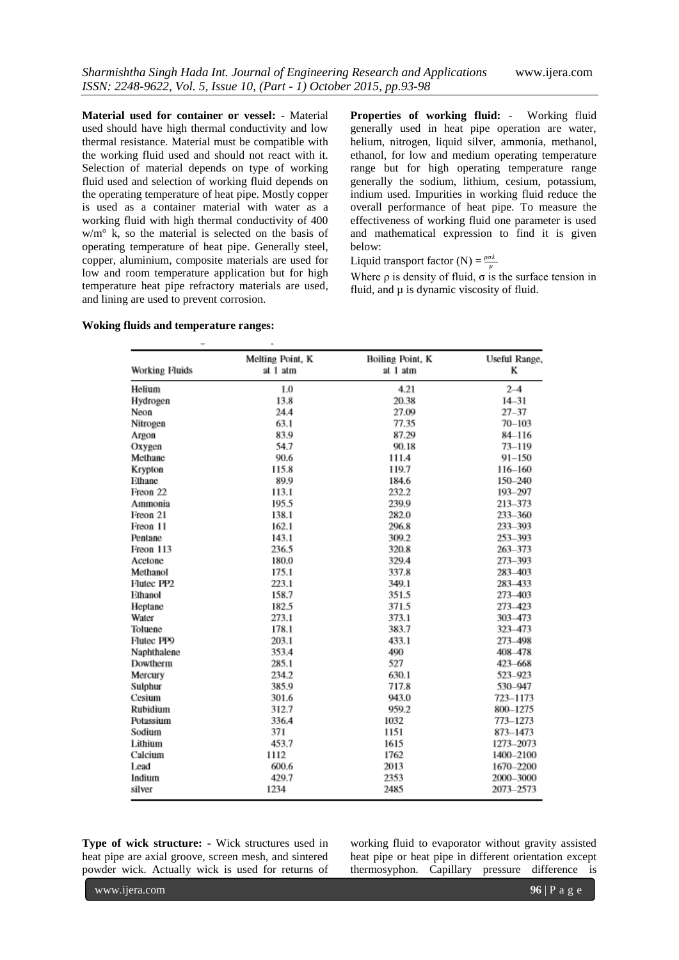**Material used for container or vessel: -** Material used should have high thermal conductivity and low thermal resistance. Material must be compatible with the working fluid used and should not react with it. Selection of material depends on type of working fluid used and selection of working fluid depends on the operating temperature of heat pipe. Mostly copper is used as a container material with water as a working fluid with high thermal conductivity of 400 w/m° k, so the material is selected on the basis of operating temperature of heat pipe. Generally steel, copper, aluminium, composite materials are used for low and room temperature application but for high temperature heat pipe refractory materials are used, and lining are used to prevent corrosion.

**Properties of working fluid:** - Working fluid generally used in heat pipe operation are water, helium, nitrogen, liquid silver, ammonia, methanol, ethanol, for low and medium operating temperature range but for high operating temperature range generally the sodium, lithium, cesium, potassium, indium used. Impurities in working fluid reduce the overall performance of heat pipe. To measure the effectiveness of working fluid one parameter is used and mathematical expression to find it is given below:

Liquid transport factor (N) =  $\frac{\rho \sigma \lambda}{\mu}$ 

Where  $\rho$  is density of fluid,  $\sigma$  is the surface tension in fluid, and  $\mu$  is dynamic viscosity of fluid.

#### **Woking fluids and temperature ranges:**

| Working Fluids         | Melting Point, K<br>at 1 atm | Boiling Point, K<br>at 1 atm | Useful Range,<br>K |
|------------------------|------------------------------|------------------------------|--------------------|
|                        |                              |                              |                    |
| Hydrogen               | 13.8                         | 20.38                        | $14 - 31$          |
| Neon                   | 24.4                         | 27.09                        | $27 - 37$          |
| Nitrogen               | 63.1                         | 77.35                        | $70 - 103$         |
| Argon                  | 83.9                         | 87.29                        | 84-116             |
| Oxygen                 | 54.7                         | 90.18                        | $73 - 119$         |
| Methane                | 90.6                         | 111.4                        | $91 - 150$         |
| Krypton                | 115.8                        | 119.7                        | 116-160            |
| Ethane                 | 89.9                         | 184.6                        | $150 - 240$        |
| Freon 22               | 113.1                        | 232.2                        | 193-297            |
| Ammonia                | 195.5                        | 239.9                        | 213-373            |
| Freon 21               | 138.1                        | 282.0                        | 233-360            |
| Freon 11               | 162.1                        | 296.8                        | 233-393            |
| Pentane                | 143.1                        | 309.2                        | 253-393            |
| Freon 113              | 236.5                        | 320.8                        | 263-373            |
| Acetone                | 180.0                        | 329.4                        | 273-393            |
| Methanol               | 175.1                        | 337.8                        | 283-403            |
| Flutec PP <sub>2</sub> | 223.1                        | 349.1                        | 283-433            |
| Ethanol                | 158.7                        | 351.5                        | 273-403            |
| Heptane                | 182.5                        | 371.5                        | 273-423            |
| Water                  | 273.1                        | 373.1                        | 303-473            |
| Toluene                | 178.1                        | 383.7                        | 323-473            |
| Flutec PP9             | 203.1                        | 433.1                        | 273-498            |
| Naphthalene            | 353.4                        | 490                          | 408-478            |
| Dowtherm               | 285.1                        | 527                          | 423-668            |
| Mercury                | 234.2                        | 630.1                        | 523-923            |
| Sulphur                | 385.9                        | 717.8                        | 530-947            |
| Cesium                 | 301.6                        | 943.0                        | 723-1173           |
| Rubidium               | 312.7                        | 959.2                        | 800-1275           |
| Potassium              | 336.4                        | 1032                         | 773-1273           |
| Sodium                 | 371                          | 1151                         | 873-1473           |
| Lithium                | 453.7                        | 1615                         | 1273-2073          |
| Calcium                | 1112                         | 1762                         | 1400-2100          |
| Lead                   | 600.6                        | 2013                         | 1670-2200          |
| Indium                 | 429.7                        | 2353                         | 2000-3000          |
| silver                 | 1234                         | 2485                         | 2073-2573          |

**Type of wick structure: -** Wick structures used in heat pipe are axial groove, screen mesh, and sintered powder wick. Actually wick is used for returns of

working fluid to evaporator without gravity assisted heat pipe or heat pipe in different orientation except thermosyphon. Capillary pressure difference is

www.ijera.com **96** | P a g e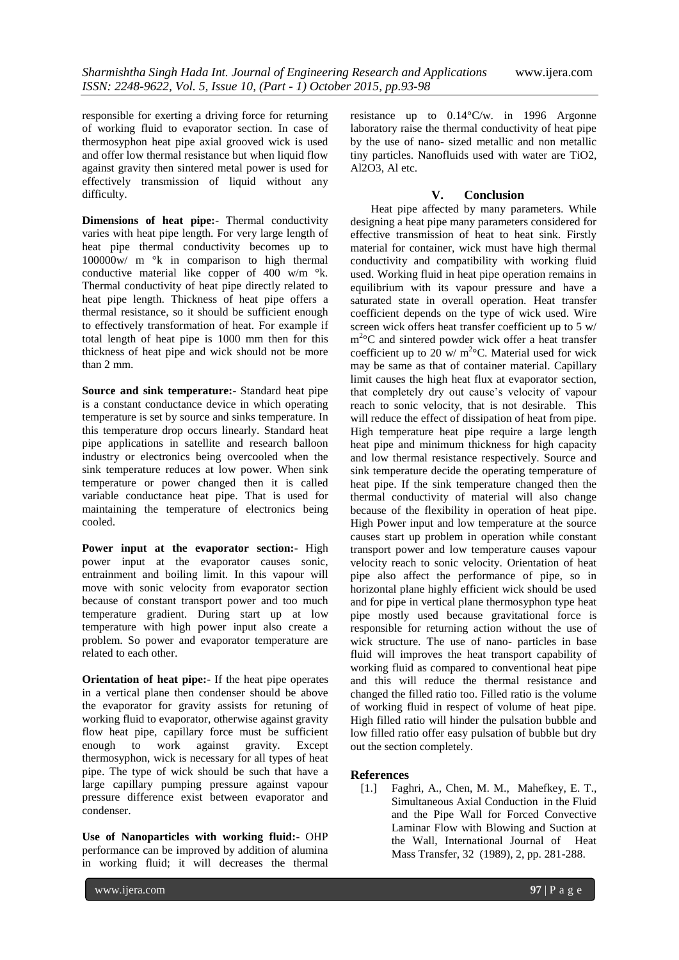responsible for exerting a driving force for returning of working fluid to evaporator section. In case of thermosyphon heat pipe axial grooved wick is used and offer low thermal resistance but when liquid flow against gravity then sintered metal power is used for effectively transmission of liquid without any difficulty.

**Dimensions of heat pipe:**- Thermal conductivity varies with heat pipe length. For very large length of heat pipe thermal conductivity becomes up to 100000w/ m °k in comparison to high thermal conductive material like copper of 400 w/m °k. Thermal conductivity of heat pipe directly related to heat pipe length. Thickness of heat pipe offers a thermal resistance, so it should be sufficient enough to effectively transformation of heat. For example if total length of heat pipe is 1000 mm then for this thickness of heat pipe and wick should not be more than 2 mm.

**Source and sink temperature:**- Standard heat pipe is a constant conductance device in which operating temperature is set by source and sinks temperature. In this temperature drop occurs linearly. Standard heat pipe applications in satellite and research balloon industry or electronics being overcooled when the sink temperature reduces at low power. When sink temperature or power changed then it is called variable conductance heat pipe. That is used for maintaining the temperature of electronics being cooled.

**Power input at the evaporator section:**- High power input at the evaporator causes sonic, entrainment and boiling limit. In this vapour will move with sonic velocity from evaporator section because of constant transport power and too much temperature gradient. During start up at low temperature with high power input also create a problem. So power and evaporator temperature are related to each other.

**Orientation of heat pipe:**- If the heat pipe operates in a vertical plane then condenser should be above the evaporator for gravity assists for retuning of working fluid to evaporator, otherwise against gravity flow heat pipe, capillary force must be sufficient enough to work against gravity. Except thermosyphon, wick is necessary for all types of heat pipe. The type of wick should be such that have a large capillary pumping pressure against vapour pressure difference exist between evaporator and condenser.

**Use of Nanoparticles with working fluid:**- OHP performance can be improved by addition of alumina in working fluid; it will decreases the thermal

resistance up to 0.14°C/w. in 1996 Argonne laboratory raise the thermal conductivity of heat pipe by the use of nano- sized metallic and non metallic tiny particles. Nanofluids used with water are TiO2, Al $2\overline{O}3$ . Al etc.

#### **V. Conclusion**

Heat pipe affected by many parameters. While designing a heat pipe many parameters considered for effective transmission of heat to heat sink. Firstly material for container, wick must have high thermal conductivity and compatibility with working fluid used. Working fluid in heat pipe operation remains in equilibrium with its vapour pressure and have a saturated state in overall operation. Heat transfer coefficient depends on the type of wick used. Wire screen wick offers heat transfer coefficient up to 5 w/ m<sup>2</sup>°C and sintered powder wick offer a heat transfer coefficient up to 20 w/  $m^{2}$ °C. Material used for wick may be same as that of container material. Capillary limit causes the high heat flux at evaporator section, that completely dry out cause's velocity of vapour reach to sonic velocity, that is not desirable. This will reduce the effect of dissipation of heat from pipe. High temperature heat pipe require a large length heat pipe and minimum thickness for high capacity and low thermal resistance respectively. Source and sink temperature decide the operating temperature of heat pipe. If the sink temperature changed then the thermal conductivity of material will also change because of the flexibility in operation of heat pipe. High Power input and low temperature at the source causes start up problem in operation while constant transport power and low temperature causes vapour velocity reach to sonic velocity. Orientation of heat pipe also affect the performance of pipe, so in horizontal plane highly efficient wick should be used and for pipe in vertical plane thermosyphon type heat pipe mostly used because gravitational force is responsible for returning action without the use of wick structure. The use of nano- particles in base fluid will improves the heat transport capability of working fluid as compared to conventional heat pipe and this will reduce the thermal resistance and changed the filled ratio too. Filled ratio is the volume of working fluid in respect of volume of heat pipe. High filled ratio will hinder the pulsation bubble and low filled ratio offer easy pulsation of bubble but dry out the section completely.

#### **References**

[1.] Faghri, A., Chen, M. M., Mahefkey, E. T., Simultaneous Axial Conduction in the Fluid and the Pipe Wall for Forced Convective Laminar Flow with Blowing and Suction at the Wall, International Journal of Heat Mass Transfer, 32 (1989), 2, pp. 281-288.